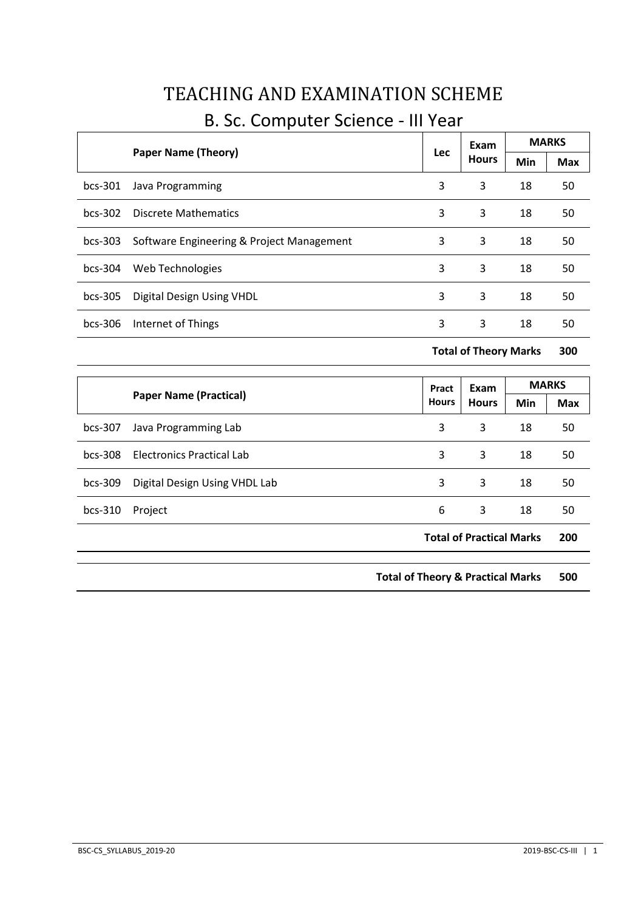| <b>Paper Name (Theory)</b> |                                           | Lec | Exam          | <b>MARKS</b> |     |
|----------------------------|-------------------------------------------|-----|---------------|--------------|-----|
|                            |                                           |     | <b>Hours</b>  | Min          | Max |
| $bcs-301$                  | Java Programming                          | 3   | 3             | 18           | 50  |
| $bcs-302$                  | Discrete Mathematics                      | 3   | 3             | 18           | 50  |
| $bcs-303$                  | Software Engineering & Project Management | 3   | 3             | 18           | 50  |
| $bcs-304$                  | Web Technologies                          | 3   | 3             | 18           | 50  |
| $bcs-305$                  | Digital Design Using VHDL                 | 3   | 3             | 18           | 50  |
| $bcs-306$                  | Internet of Things                        | 3   | 3             | 18           | 50  |
|                            |                                           |     | $\sim$ $\sim$ |              |     |

# TEACHING AND EXAMINATION SCHEME

# B. Sc. Computer Science - III Year

**Total of Theory Marks 300**

|           |                                  | Pract<br><b>Hours</b> | Exam<br><b>Hours</b>            | <b>MARKS</b> |            |
|-----------|----------------------------------|-----------------------|---------------------------------|--------------|------------|
|           | <b>Paper Name (Practical)</b>    |                       |                                 | Min          | <b>Max</b> |
| $bcs-307$ | Java Programming Lab             | 3                     | 3                               | 18           | 50         |
| $bcs-308$ | <b>Electronics Practical Lab</b> | 3                     | 3                               | 18           | 50         |
| $bcs-309$ | Digital Design Using VHDL Lab    | 3                     | 3                               | 18           | 50         |
| $bcs-310$ | Project                          | 6                     | 3                               | 18           | 50         |
|           |                                  |                       | <b>Total of Practical Marks</b> |              | 200        |

**Total of Theory & Practical Marks 500**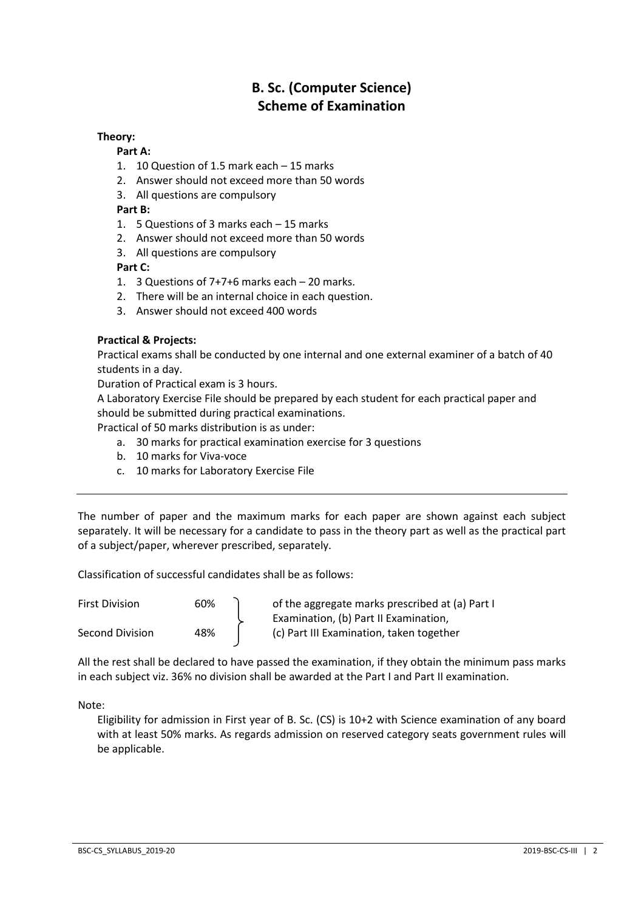# **B. Sc. (Computer Science) Scheme of Examination**

# **Theory:**

# **Part A:**

- 1. 10 Question of 1.5 mark each 15 marks
- 2. Answer should not exceed more than 50 words
- 3. All questions are compulsory

# **Part B:**

- 1. 5 Questions of 3 marks each 15 marks
- 2. Answer should not exceed more than 50 words
- 3. All questions are compulsory

# **Part C:**

- 1. 3 Questions of 7+7+6 marks each 20 marks.
- 2. There will be an internal choice in each question.
- 3. Answer should not exceed 400 words

# **Practical & Projects:**

Practical exams shall be conducted by one internal and one external examiner of a batch of 40 students in a day.

Duration of Practical exam is 3 hours.

A Laboratory Exercise File should be prepared by each student for each practical paper and should be submitted during practical examinations.

Practical of 50 marks distribution is as under:

- a. 30 marks for practical examination exercise for 3 questions
- b. 10 marks for Viva-voce
- c. 10 marks for Laboratory Exercise File

The number of paper and the maximum marks for each paper are shown against each subject separately. It will be necessary for a candidate to pass in the theory part as well as the practical part of a subject/paper, wherever prescribed, separately.

Classification of successful candidates shall be as follows:

| <b>First Division</b> | 60% | of the aggregate marks prescribed at (a) Part I |
|-----------------------|-----|-------------------------------------------------|
|                       |     | Examination, (b) Part II Examination,           |
| Second Division       | 48% | (c) Part III Examination, taken together        |

All the rest shall be declared to have passed the examination, if they obtain the minimum pass marks in each subject viz. 36% no division shall be awarded at the Part I and Part II examination.

Note:

Eligibility for admission in First year of B. Sc. (CS) is 10+2 with Science examination of any board with at least 50% marks. As regards admission on reserved category seats government rules will be applicable.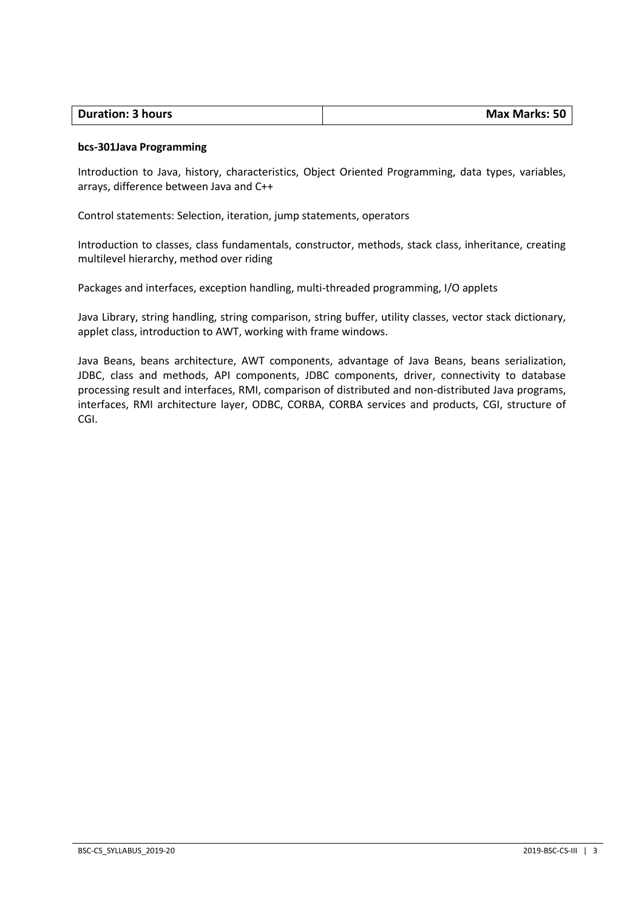|  | <b>Duration: 3 hours</b> | Max Marks: 50 |
|--|--------------------------|---------------|
|--|--------------------------|---------------|

#### **bcs-301Java Programming**

Introduction to Java, history, characteristics, Object Oriented Programming, data types, variables, arrays, difference between Java and C++

Control statements: Selection, iteration, jump statements, operators

Introduction to classes, class fundamentals, constructor, methods, stack class, inheritance, creating multilevel hierarchy, method over riding

Packages and interfaces, exception handling, multi-threaded programming, I/O applets

Java Library, string handling, string comparison, string buffer, utility classes, vector stack dictionary, applet class, introduction to AWT, working with frame windows.

Java Beans, beans architecture, AWT components, advantage of Java Beans, beans serialization, JDBC, class and methods, API components, JDBC components, driver, connectivity to database processing result and interfaces, RMI, comparison of distributed and non-distributed Java programs, interfaces, RMI architecture layer, ODBC, CORBA, CORBA services and products, CGI, structure of CGI.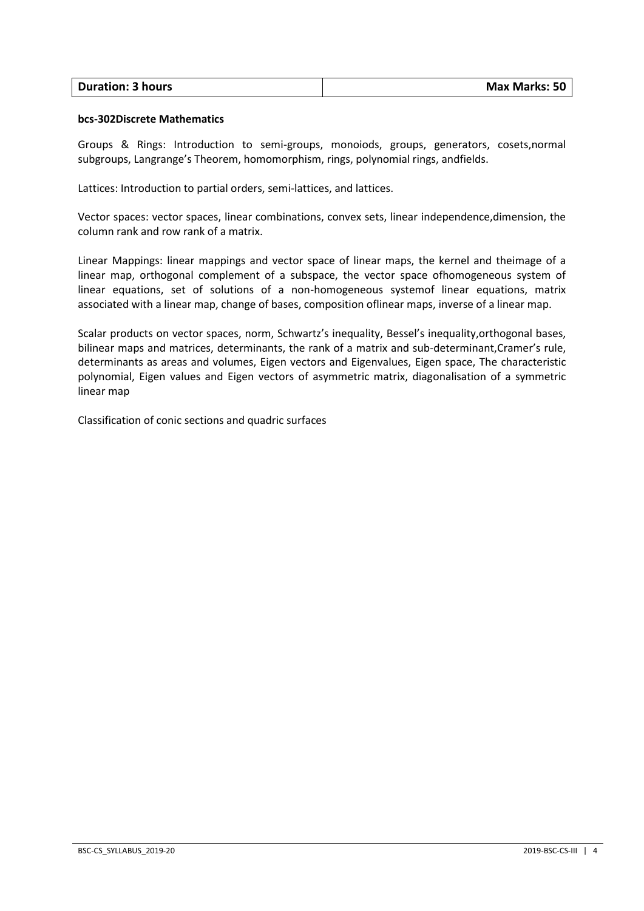| <b>Duration: 3 hours</b> | <b>Max Marks: 50</b> |
|--------------------------|----------------------|
|                          |                      |

#### **bcs-302Discrete Mathematics**

Groups & Rings: Introduction to semi-groups, monoiods, groups, generators, cosets,normal subgroups, Langrange's Theorem, homomorphism, rings, polynomial rings, andfields.

Lattices: Introduction to partial orders, semi-lattices, and lattices.

Vector spaces: vector spaces, linear combinations, convex sets, linear independence,dimension, the column rank and row rank of a matrix.

Linear Mappings: linear mappings and vector space of linear maps, the kernel and theimage of a linear map, orthogonal complement of a subspace, the vector space ofhomogeneous system of linear equations, set of solutions of a non-homogeneous systemof linear equations, matrix associated with a linear map, change of bases, composition oflinear maps, inverse of a linear map.

Scalar products on vector spaces, norm, Schwartz's inequality, Bessel's inequality,orthogonal bases, bilinear maps and matrices, determinants, the rank of a matrix and sub-determinant,Cramer's rule, determinants as areas and volumes, Eigen vectors and Eigenvalues, Eigen space, The characteristic polynomial, Eigen values and Eigen vectors of asymmetric matrix, diagonalisation of a symmetric linear map

Classification of conic sections and quadric surfaces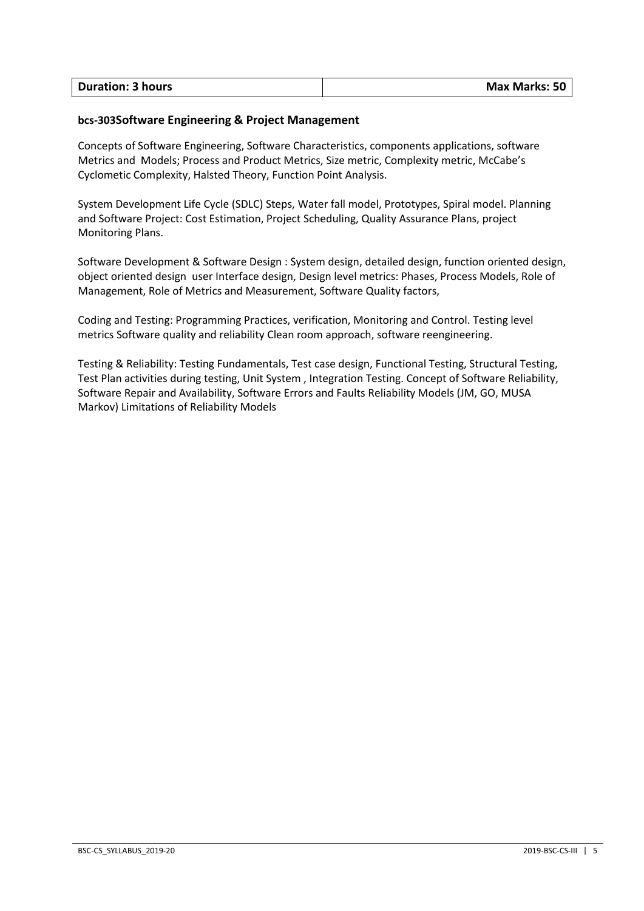### **bcs-303Software Engineering & Project Management**

Concepts of Software Engineering, Software Characteristics, components applications, software Metrics and Models; Process and Product Metrics, Size metric, Complexity metric, McCabe's Cyclometic Complexity, Halsted Theory, Function Point Analysis.

System Development Life Cycle (SDLC) Steps, Water fall model, Prototypes, Spiral model. Planning and Software Project: Cost Estimation, Project Scheduling, Quality Assurance Plans, project Monitoring Plans.

Software Development & Software Design : System design, detailed design, function oriented design, object oriented design user Interface design, Design level metrics: Phases, Process Models, Role of Management, Role of Metrics and Measurement, Software Quality factors,

Coding and Testing: Programming Practices, verification, Monitoring and Control. Testing level metrics Software quality and reliability Clean room approach, software reengineering.

Testing & Reliability: Testing Fundamentals, Test case design, Functional Testing, Structural Testing, Test Plan activities during testing, Unit System , Integration Testing. Concept of Software Reliability, Software Repair and Availability, Software Errors and Faults Reliability Models (JM, GO, MUSA Markov) Limitations of Reliability Models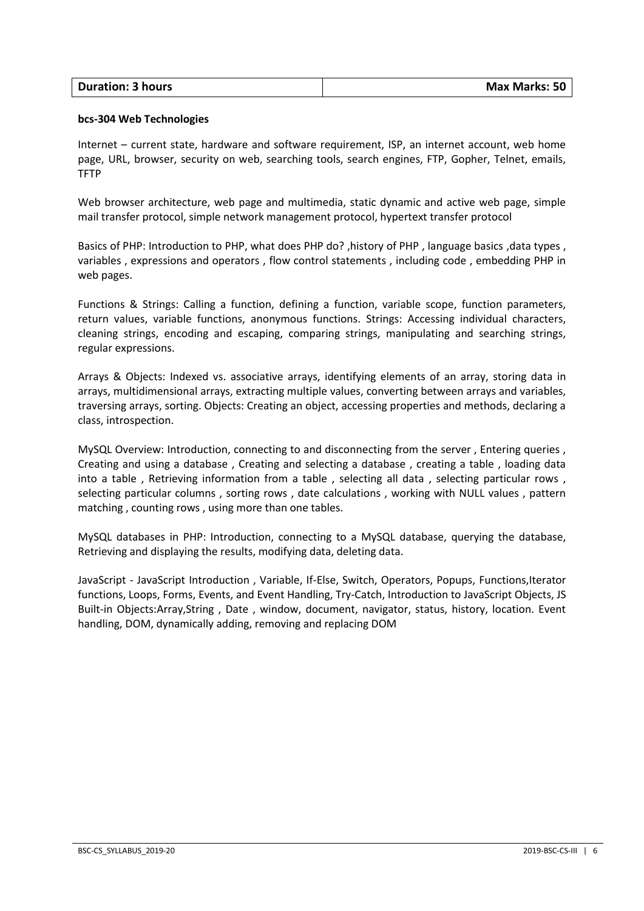| <b>Duration: 3 hours</b> | <b>Max Marks: 50</b> |
|--------------------------|----------------------|
|                          |                      |

#### **bcs-304 Web Technologies**

Internet – current state, hardware and software requirement, ISP, an internet account, web home page, URL, browser, security on web, searching tools, search engines, FTP, Gopher, Telnet, emails, TFTP

Web browser architecture, web page and multimedia, static dynamic and active web page, simple mail transfer protocol, simple network management protocol, hypertext transfer protocol

Basics of PHP: Introduction to PHP, what does PHP do?, history of PHP, language basics, data types, variables , expressions and operators , flow control statements , including code , embedding PHP in web pages.

Functions & Strings: Calling a function, defining a function, variable scope, function parameters, return values, variable functions, anonymous functions. Strings: Accessing individual characters, cleaning strings, encoding and escaping, comparing strings, manipulating and searching strings, regular expressions.

Arrays & Objects: Indexed vs. associative arrays, identifying elements of an array, storing data in arrays, multidimensional arrays, extracting multiple values, converting between arrays and variables, traversing arrays, sorting. Objects: Creating an object, accessing properties and methods, declaring a class, introspection.

MySQL Overview: Introduction, connecting to and disconnecting from the server , Entering queries , Creating and using a database , Creating and selecting a database , creating a table , loading data into a table, Retrieving information from a table, selecting all data, selecting particular rows, selecting particular columns , sorting rows , date calculations , working with NULL values , pattern matching , counting rows , using more than one tables.

MySQL databases in PHP: Introduction, connecting to a MySQL database, querying the database, Retrieving and displaying the results, modifying data, deleting data.

JavaScript - JavaScript Introduction , Variable, If-Else, Switch, Operators, Popups, Functions,Iterator functions, Loops, Forms, Events, and Event Handling, Try-Catch, Introduction to JavaScript Objects, JS Built-in Objects:Array,String , Date , window, document, navigator, status, history, location. Event handling, DOM, dynamically adding, removing and replacing DOM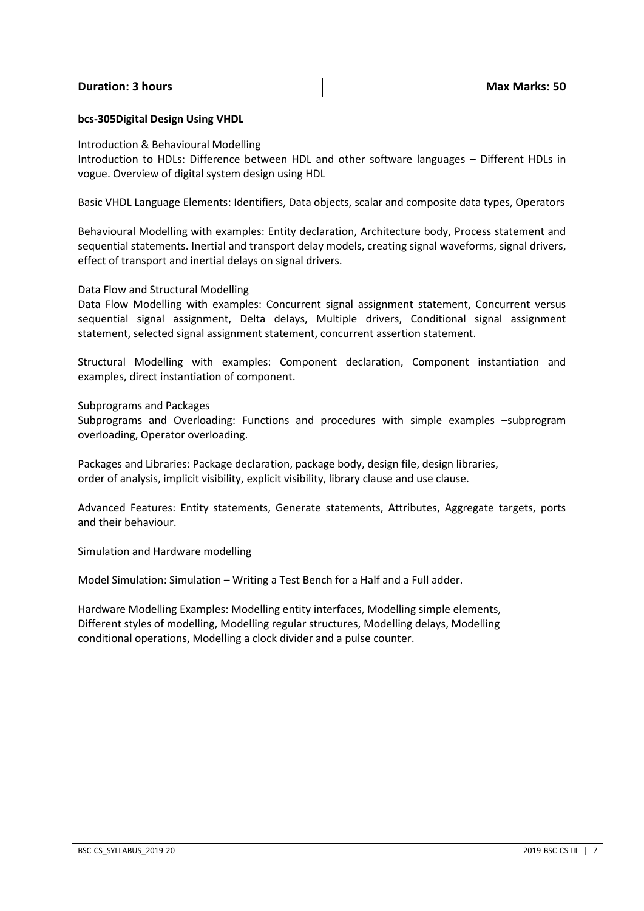| <b>Duration: 3 hours</b> | <b>Max Marks: 50</b> |
|--------------------------|----------------------|

#### **bcs-305Digital Design Using VHDL**

Introduction & Behavioural Modelling

Introduction to HDLs: Difference between HDL and other software languages – Different HDLs in vogue. Overview of digital system design using HDL

Basic VHDL Language Elements: Identifiers, Data objects, scalar and composite data types, Operators

Behavioural Modelling with examples: Entity declaration, Architecture body, Process statement and sequential statements. Inertial and transport delay models, creating signal waveforms, signal drivers, effect of transport and inertial delays on signal drivers.

#### Data Flow and Structural Modelling

Data Flow Modelling with examples: Concurrent signal assignment statement, Concurrent versus sequential signal assignment, Delta delays, Multiple drivers, Conditional signal assignment statement, selected signal assignment statement, concurrent assertion statement.

Structural Modelling with examples: Component declaration, Component instantiation and examples, direct instantiation of component.

Subprograms and Packages

Subprograms and Overloading: Functions and procedures with simple examples –subprogram overloading, Operator overloading.

Packages and Libraries: Package declaration, package body, design file, design libraries, order of analysis, implicit visibility, explicit visibility, library clause and use clause.

Advanced Features: Entity statements, Generate statements, Attributes, Aggregate targets, ports and their behaviour.

Simulation and Hardware modelling

Model Simulation: Simulation – Writing a Test Bench for a Half and a Full adder.

Hardware Modelling Examples: Modelling entity interfaces, Modelling simple elements, Different styles of modelling, Modelling regular structures, Modelling delays, Modelling conditional operations, Modelling a clock divider and a pulse counter.